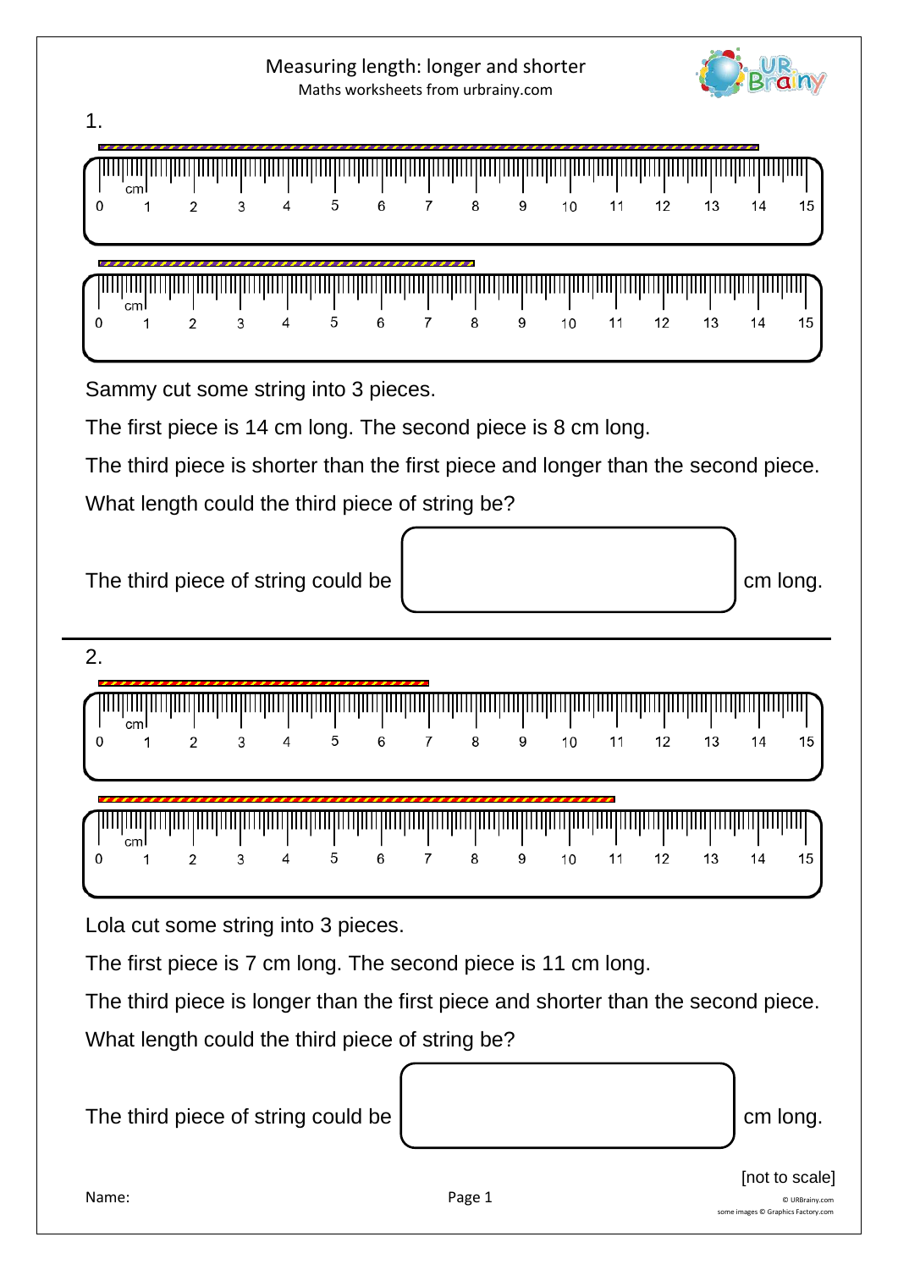

Measuring length: longer and shorter

The third piece is longer than the first piece and shorter than the second piece. What length could the third piece of string be?



[not to scale]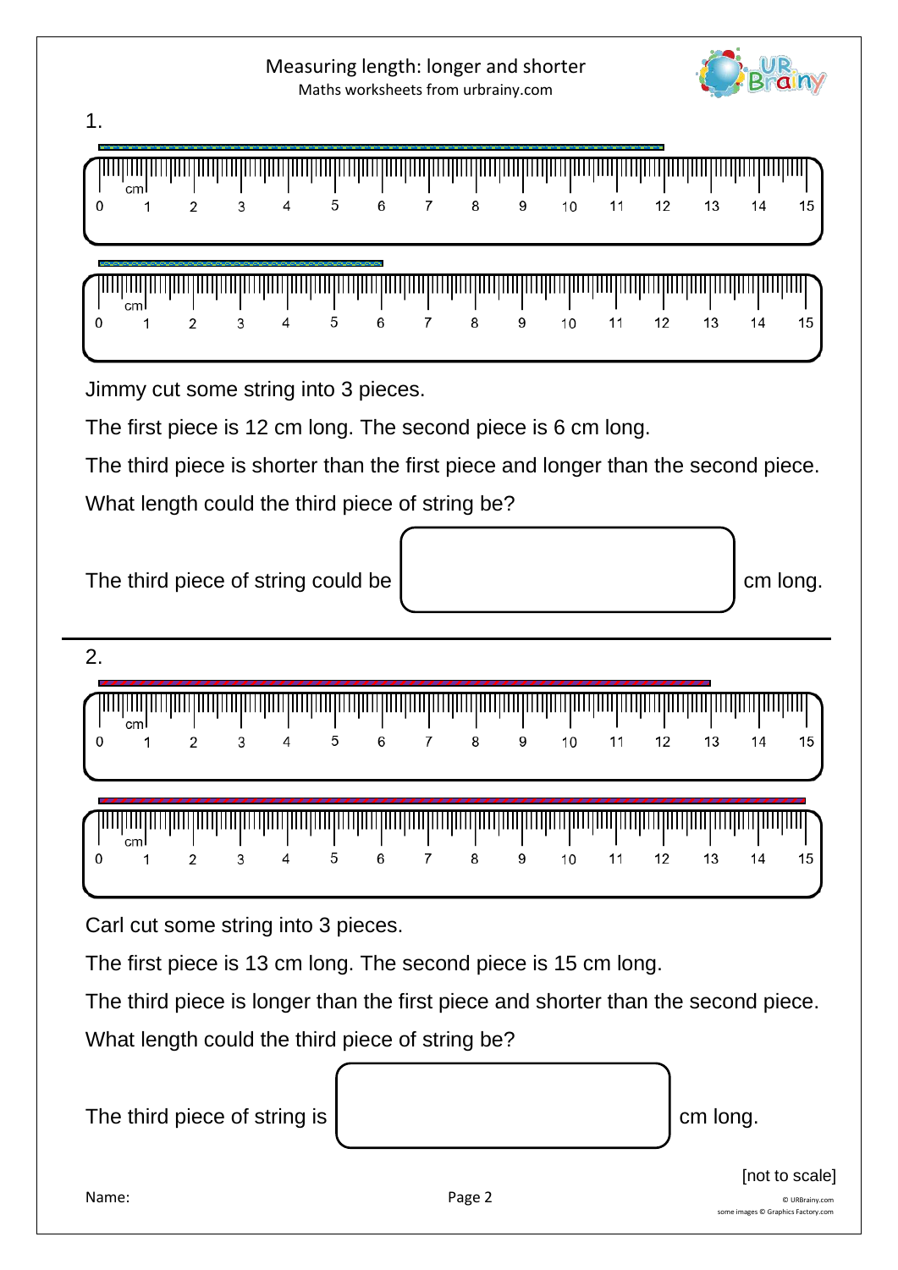# Measuring length: longer and shorter Maths worksheets from urbrainy.com

 $\overline{7}$ 

 $\overline{7}$ 

 $\mathsf{a}$ 

8

9

9

 $10$ 

10

 $11$ 

 $11$ 

 $12$ 

 $12$ 

13

13

Jimmy cut some string into 3 pieces.

The first piece is 12 cm long. The second piece is 6 cm long.

5

5

6

6

The third piece is shorter than the first piece and longer than the second piece.

What length could the third piece of string be?





2.

1.

 $\Omega$ 

 $\mathbf 0$ 

 $cm<sup>1</sup>$ 

 $\mathbf{1}$ 

1111111111

1

'cml

 $\overline{2}$ 

 $\overline{2}$ 

3

3

 $\overline{4}$ 

4

|  |  |  |  | 1 2 3 4 5 6 7 8 9 |  | 10 11 12 | 13 14 |  |
|--|--|--|--|-------------------|--|----------|-------|--|

| $\bigcup_{i=1}^n$ and the detection of the detection of the detection of the detection of the detection of the detection of the detection of the detection of the detection of the detection of the detection of the detection of |  |  |  |  |  |  |  |
|-----------------------------------------------------------------------------------------------------------------------------------------------------------------------------------------------------------------------------------|--|--|--|--|--|--|--|
| l 0   1   2   3   4   5   6   7   8   9   10   11   12   13   14   15 l                                                                                                                                                           |  |  |  |  |  |  |  |

Carl cut some string into 3 pieces.

The first piece is 13 cm long. The second piece is 15 cm long.

The third piece is longer than the first piece and shorter than the second piece.

What length could the third piece of string be?

The third piece of string is contact the contact of the long.



14

 $14$ 

15

15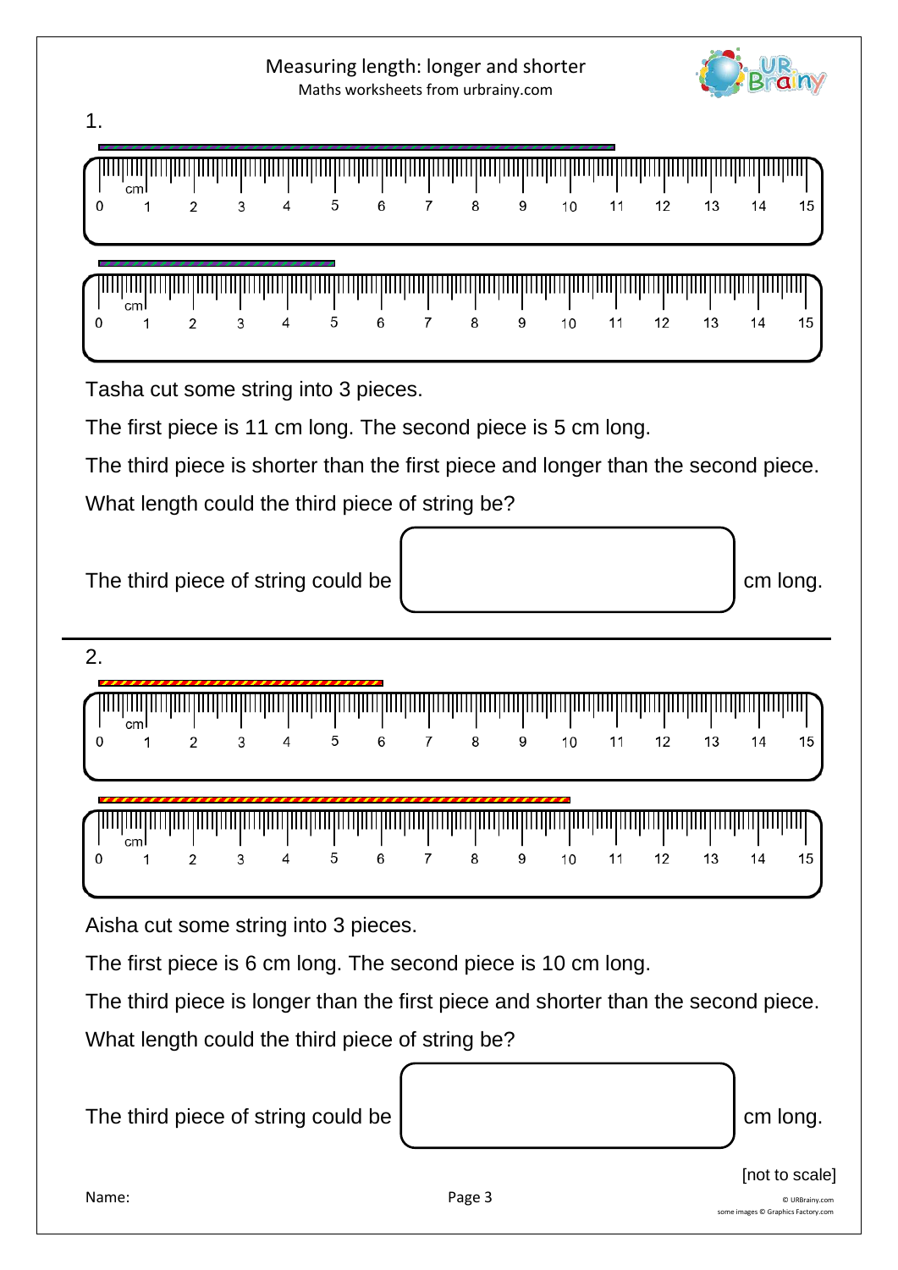[not to scale]

15

15

The third piece of string could be contact the contact of the cm long.

The first piece is 6 cm long. The second piece is 10 cm long.

Aisha cut some string into 3 pieces.

The third piece is longer than the first piece and shorter than the second piece.

What length could the third piece of string be?

|  | cm  |  | 4 | 5 | 6 | 8 | 9 | 10 | 11 | 12 | 13 | 14 |  |
|--|-----|--|---|---|---|---|---|----|----|----|----|----|--|
|  |     |  |   |   |   |   |   |    |    |    |    |    |  |
|  | cml |  |   |   |   |   |   |    |    |    |    |    |  |
|  |     |  |   |   |   |   |   | 10 |    |    |    |    |  |

The first piece is 11 cm long. The second piece is 5 cm long.

The third piece is shorter than the first piece and longer than the second piece.

The third piece of string could be contact the cm long.

What length could the third piece of string be?

Tasha cut some string into 3 pieces.